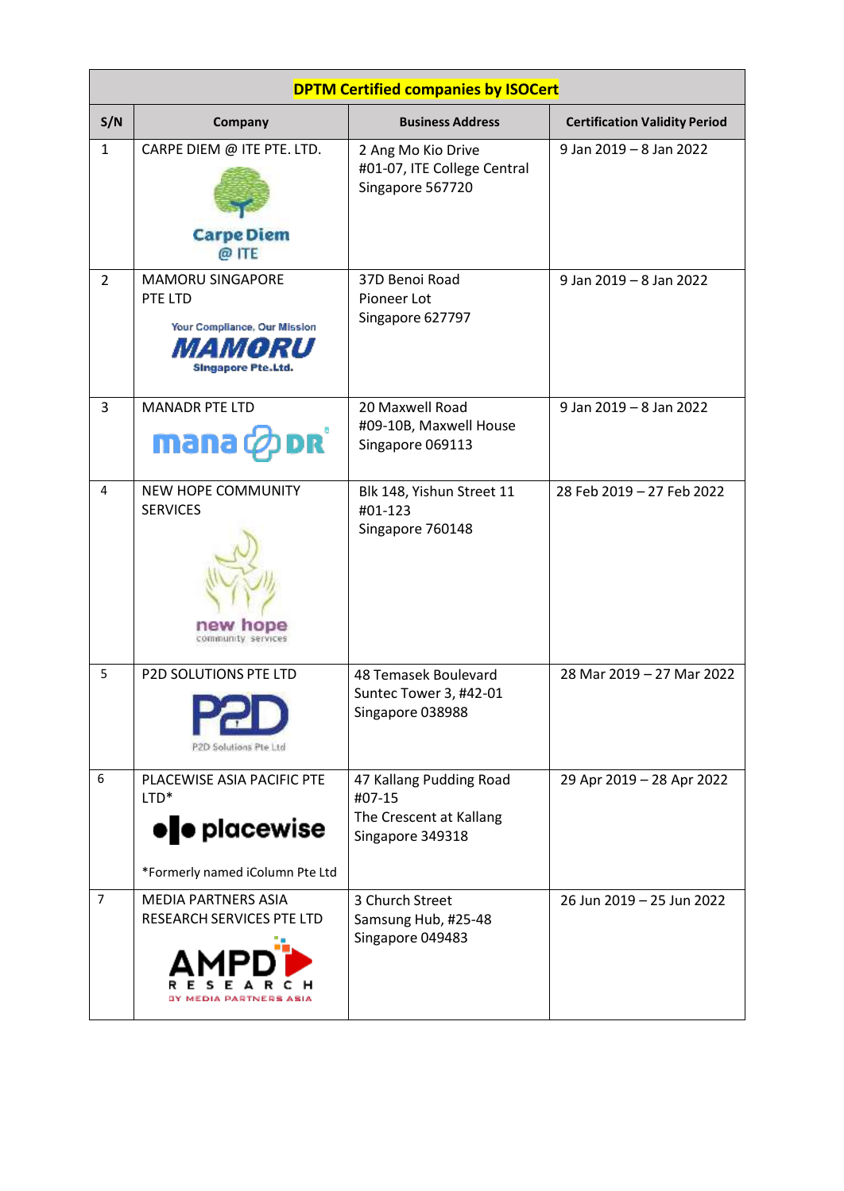| <b>DPTM Certified companies by ISOCert</b> |                                                                                                         |                                                                                  |                                      |
|--------------------------------------------|---------------------------------------------------------------------------------------------------------|----------------------------------------------------------------------------------|--------------------------------------|
| S/N                                        | Company                                                                                                 | <b>Business Address</b>                                                          | <b>Certification Validity Period</b> |
| $\mathbf{1}$                               | CARPE DIEM @ ITE PTE. LTD.<br><b>Carpe Diem</b><br>@ ITE                                                | 2 Ang Mo Kio Drive<br>#01-07, ITE College Central<br>Singapore 567720            | 9 Jan 2019 - 8 Jan 2022              |
| $\overline{2}$                             | <b>MAMORU SINGAPORE</b><br>PTE LTD<br>Your Compliance, Our Mission<br>MORU<br><b>Singapore Pte.Ltd.</b> | 37D Benoi Road<br>Pioneer Lot<br>Singapore 627797                                | 9 Jan 2019 - 8 Jan 2022              |
| 3                                          | <b>MANADR PTE LTD</b><br>DRÏ<br>mana ¢                                                                  | 20 Maxwell Road<br>#09-10B, Maxwell House<br>Singapore 069113                    | 9 Jan 2019 - 8 Jan 2022              |
| 4                                          | <b>NEW HOPE COMMUNITY</b><br><b>SERVICES</b><br>new hope<br>community services                          | Blk 148, Yishun Street 11<br>#01-123<br>Singapore 760148                         | 28 Feb 2019 - 27 Feb 2022            |
| 5                                          | P2D SOLUTIONS PTE LTD<br>P2D Solutions Pte Ltd                                                          | 48 Temasek Boulevard<br>Suntec Tower 3, #42-01<br>Singapore 038988               | 28 Mar 2019 - 27 Mar 2022            |
| 6                                          | PLACEWISE ASIA PACIFIC PTE<br>$LTD*$<br><b>ele</b> placewise<br>*Formerly named iColumn Pte Ltd         | 47 Kallang Pudding Road<br>#07-15<br>The Crescent at Kallang<br>Singapore 349318 | 29 Apr 2019 - 28 Apr 2022            |
| 7                                          | <b>MEDIA PARTNERS ASIA</b><br><b>RESEARCH SERVICES PTE LTD</b><br><b>DIA PARTNERS ASIA</b>              | 3 Church Street<br>Samsung Hub, #25-48<br>Singapore 049483                       | 26 Jun 2019 - 25 Jun 2022            |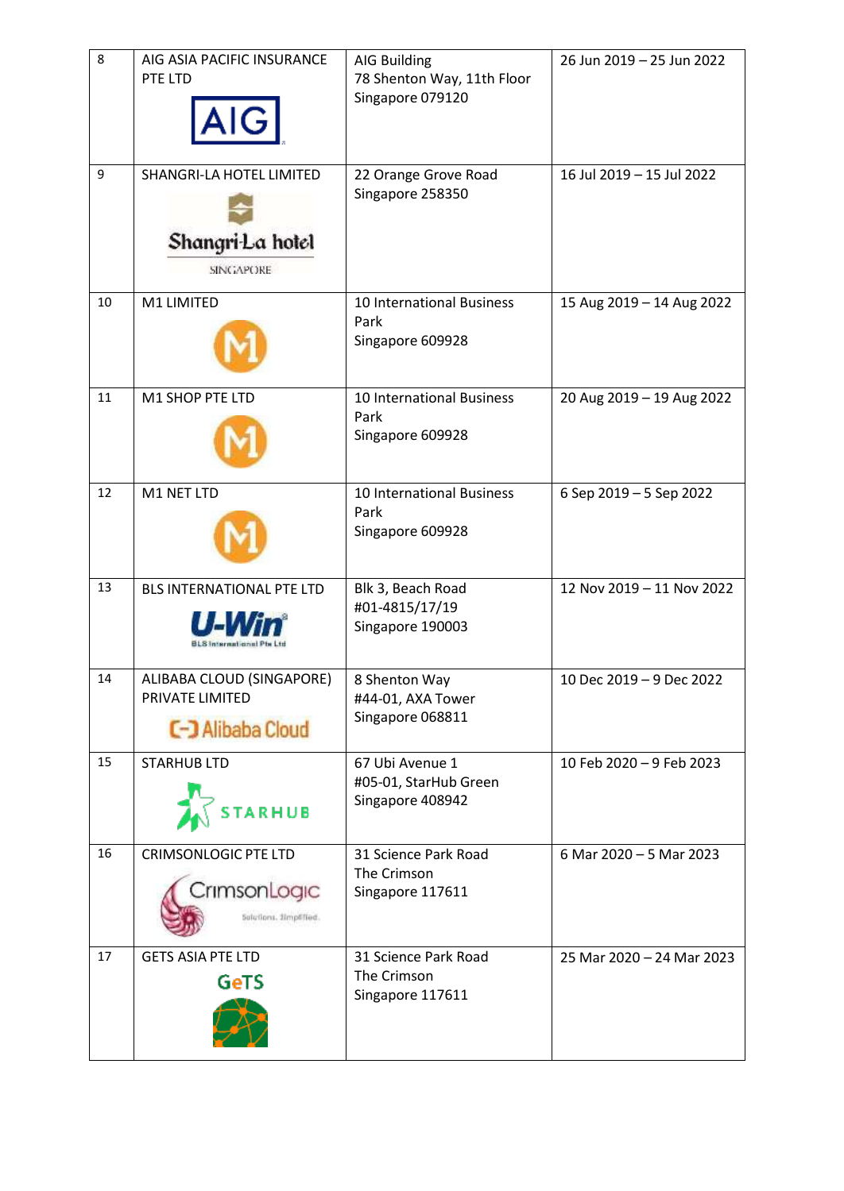| 8  | AIG ASIA PACIFIC INSURANCE<br>PTE LTD<br>AIGI                            | <b>AIG Building</b><br>78 Shenton Way, 11th Floor<br>Singapore 079120 | 26 Jun 2019 - 25 Jun 2022 |
|----|--------------------------------------------------------------------------|-----------------------------------------------------------------------|---------------------------|
| 9  | SHANGRI-LA HOTEL LIMITED<br>Shangri-La hotel<br><b>SINGAPORE</b>         | 22 Orange Grove Road<br>Singapore 258350                              | 16 Jul 2019 - 15 Jul 2022 |
| 10 | M1 LIMITED                                                               | 10 International Business<br>Park<br>Singapore 609928                 | 15 Aug 2019 - 14 Aug 2022 |
| 11 | M1 SHOP PTE LTD                                                          | 10 International Business<br>Park<br>Singapore 609928                 | 20 Aug 2019 - 19 Aug 2022 |
| 12 | M1 NET LTD                                                               | 10 International Business<br>Park<br>Singapore 609928                 | 6 Sep 2019 - 5 Sep 2022   |
| 13 | BLS INTERNATIONAL PTE LTD<br><b>BLS International Pts Ltd</b>            | Blk 3, Beach Road<br>#01-4815/17/19<br>Singapore 190003               | 12 Nov 2019 - 11 Nov 2022 |
| 14 | ALIBABA CLOUD (SINGAPORE)<br>PRIVATE LIMITED<br><b>C-J Alibaba Cloud</b> | 8 Shenton Way<br>#44-01, AXA Tower<br>Singapore 068811                | 10 Dec 2019 - 9 Dec 2022  |
| 15 | <b>STARHUB LTD</b><br><b>STARHUB</b>                                     | 67 Ubi Avenue 1<br>#05-01, StarHub Green<br>Singapore 408942          | 10 Feb 2020 - 9 Feb 2023  |
| 16 | <b>CRIMSONLOGIC PTE LTD</b><br>CrimsonLogic<br>Solutions. Simplified.    | 31 Science Park Road<br>The Crimson<br>Singapore 117611               | 6 Mar 2020 - 5 Mar 2023   |
| 17 | <b>GETS ASIA PTE LTD</b><br>GeTS                                         | 31 Science Park Road<br>The Crimson<br>Singapore 117611               | 25 Mar 2020 - 24 Mar 2023 |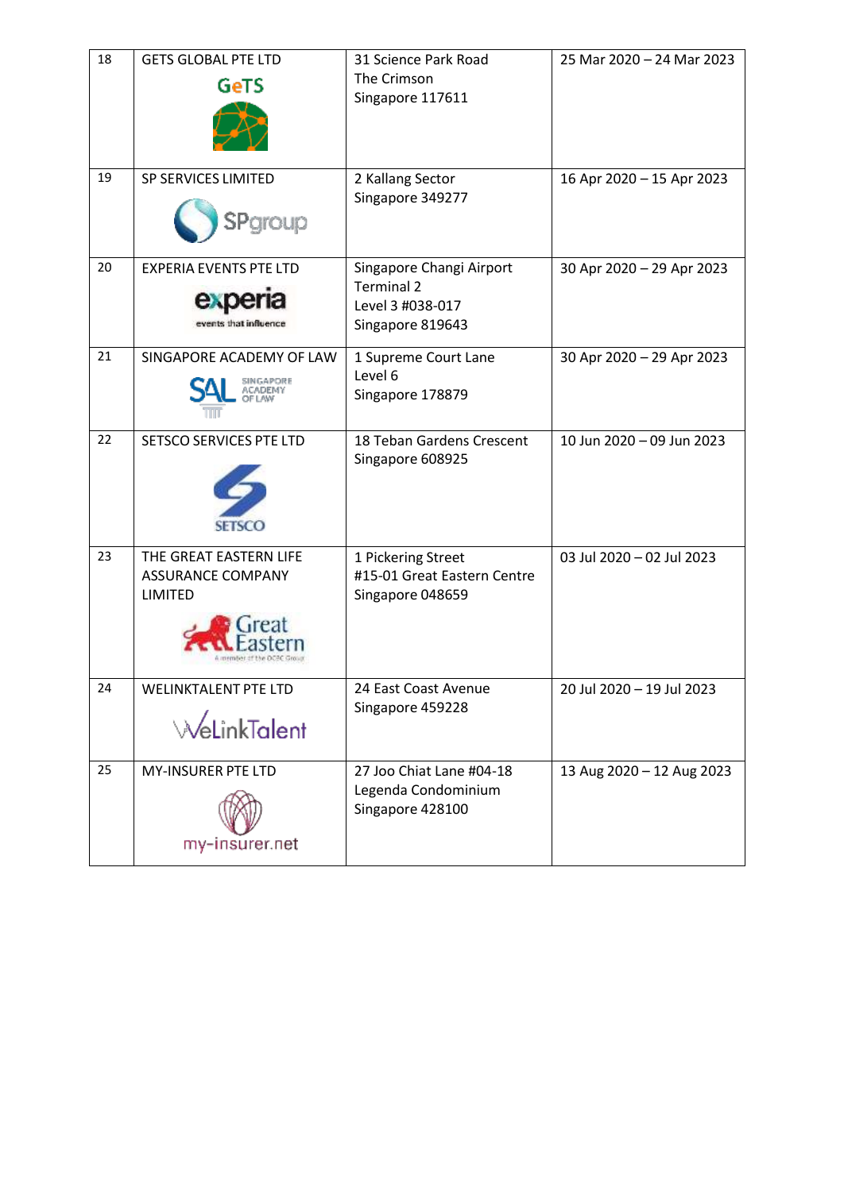| 18 | <b>GETS GLOBAL PTE LTD</b><br><b>GeTS</b>                            | 31 Science Park Road<br>The Crimson<br>Singapore 117611                               | 25 Mar 2020 - 24 Mar 2023 |
|----|----------------------------------------------------------------------|---------------------------------------------------------------------------------------|---------------------------|
| 19 | SP SERVICES LIMITED<br>SPgroup                                       | 2 Kallang Sector<br>Singapore 349277                                                  | 16 Apr 2020 - 15 Apr 2023 |
| 20 | <b>EXPERIA EVENTS PTE LTD</b><br>expe<br>events that influence       | Singapore Changi Airport<br><b>Terminal 2</b><br>Level 3 #038-017<br>Singapore 819643 | 30 Apr 2020 - 29 Apr 2023 |
| 21 | SINGAPORE ACADEMY OF LAW<br>SINGAPORE                                | 1 Supreme Court Lane<br>Level 6<br>Singapore 178879                                   | 30 Apr 2020 - 29 Apr 2023 |
| 22 | <b>SETSCO SERVICES PTE LTD</b><br><b>SETSCO</b>                      | 18 Teban Gardens Crescent<br>Singapore 608925                                         | 10 Jun 2020 - 09 Jun 2023 |
| 23 | THE GREAT EASTERN LIFE<br><b>ASSURANCE COMPANY</b><br><b>LIMITED</b> | 1 Pickering Street<br>#15-01 Great Eastern Centre<br>Singapore 048659                 | 03 Jul 2020 - 02 Jul 2023 |
| 24 | <b>WELINKTALENT PTE LTD</b><br><b><i><u>MeLinkTalent</u></i></b>     | 24 East Coast Avenue<br>Singapore 459228                                              | 20 Jul 2020 - 19 Jul 2023 |
| 25 | <b>MY-INSURER PTE LTD</b><br>my-insurer.net                          | 27 Joo Chiat Lane #04-18<br>Legenda Condominium<br>Singapore 428100                   | 13 Aug 2020 - 12 Aug 2023 |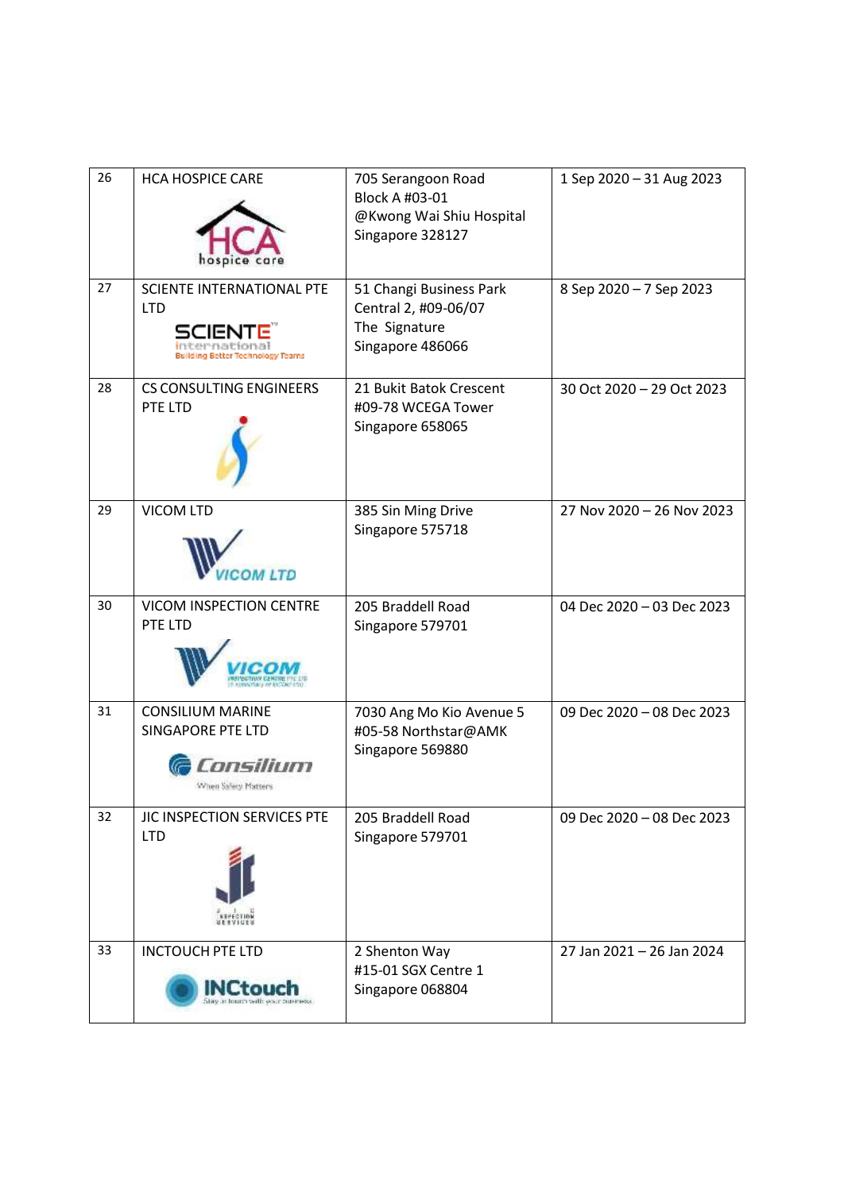| 26 | <b>HCA HOSPICE CARE</b>                                                                     | 705 Serangoon Road<br>Block A #03-01<br>@Kwong Wai Shiu Hospital<br>Singapore 328127 | 1 Sep 2020 - 31 Aug 2023  |
|----|---------------------------------------------------------------------------------------------|--------------------------------------------------------------------------------------|---------------------------|
| 27 | <b>SCIENTE INTERNATIONAL PTE</b><br><b>LTD</b><br>50151<br>Building Better Technology Teams | 51 Changi Business Park<br>Central 2, #09-06/07<br>The Signature<br>Singapore 486066 | 8 Sep 2020 - 7 Sep 2023   |
| 28 | <b>CS CONSULTING ENGINEERS</b><br>PTE LTD                                                   | 21 Bukit Batok Crescent<br>#09-78 WCEGA Tower<br>Singapore 658065                    | 30 Oct 2020 - 29 Oct 2023 |
| 29 | <b>VICOM LTD</b><br><b>OM LTD</b>                                                           | 385 Sin Ming Drive<br>Singapore 575718                                               | 27 Nov 2020 - 26 Nov 2023 |
| 30 | VICOM INSPECTION CENTRE<br>PTE LTD                                                          | 205 Braddell Road<br>Singapore 579701                                                | 04 Dec 2020 - 03 Dec 2023 |
| 31 | <b>CONSILIUM MARINE</b><br><b>SINGAPORE PTE LTD</b><br>onsilium<br>When Safety Matters      | 7030 Ang Mo Kio Avenue 5<br>#05-58 Northstar@AMK<br>Singapore 569880                 | 09 Dec 2020 - 08 Dec 2023 |
| 32 | JIC INSPECTION SERVICES PTE<br><b>LTD</b>                                                   | 205 Braddell Road<br>Singapore 579701                                                | 09 Dec 2020 - 08 Dec 2023 |
| 33 | <b>INCTOUCH PTE LTD</b><br>stay in hours with wair futuress.                                | 2 Shenton Way<br>#15-01 SGX Centre 1<br>Singapore 068804                             | 27 Jan 2021 - 26 Jan 2024 |